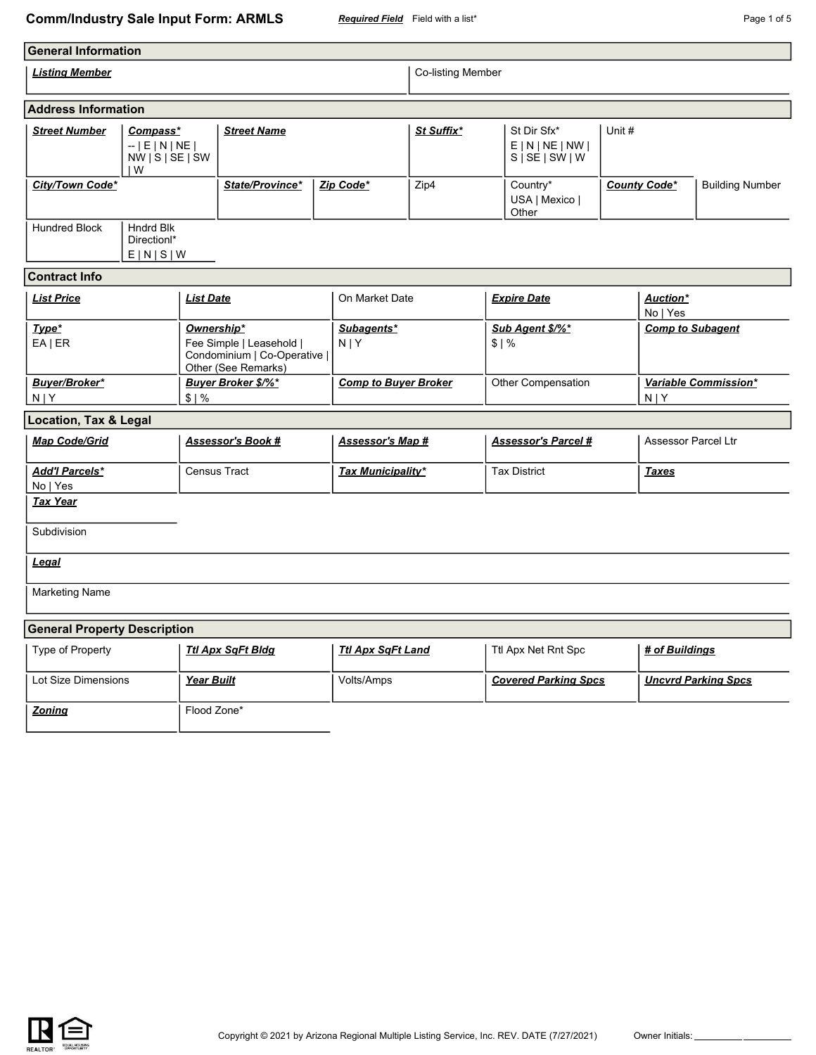#### **Comm/Industry Sale Input Form: ARMLS** *Required Field* Field with a list\* **Page 1 of 5** Page 1 of 5

| <b>General Information</b>                                                        |                                                       |                   |                                                                                               |  |                             |      |                                                         |                                     |        |                                    |                        |  |
|-----------------------------------------------------------------------------------|-------------------------------------------------------|-------------------|-----------------------------------------------------------------------------------------------|--|-----------------------------|------|---------------------------------------------------------|-------------------------------------|--------|------------------------------------|------------------------|--|
| <b>Listing Member</b>                                                             |                                                       |                   |                                                                                               |  | Co-listing Member           |      |                                                         |                                     |        |                                    |                        |  |
| <b>Address Information</b>                                                        |                                                       |                   |                                                                                               |  |                             |      |                                                         |                                     |        |                                    |                        |  |
| <b>Street Number</b><br>Compass*<br>$-$   E   N   NE  <br>NW   S   SE   SW<br>l W |                                                       |                   | <b>Street Name</b>                                                                            |  | St Suffix*                  |      | St Dir Sfx*<br>E N NE NW <br>$S \mid SE \mid SW \mid W$ |                                     | Unit # |                                    |                        |  |
| City/Town Code*                                                                   |                                                       |                   | State/Province*                                                                               |  | Zip Code*                   | Zip4 |                                                         | Country*<br>USA   Mexico  <br>Other |        | <b>County Code*</b>                | <b>Building Number</b> |  |
| <b>Hundred Block</b>                                                              | <b>Hndrd Blk</b><br>Direction <sup>*</sup><br>E[N S W |                   |                                                                                               |  |                             |      |                                                         |                                     |        |                                    |                        |  |
| <b>Contract Info</b>                                                              |                                                       |                   |                                                                                               |  |                             |      |                                                         |                                     |        |                                    |                        |  |
| <b>List Price</b>                                                                 |                                                       | <b>List Date</b>  |                                                                                               |  | On Market Date              |      |                                                         | <b>Expire Date</b>                  |        | Auction*<br>No   Yes               |                        |  |
| Type*<br>$EA$   ER                                                                |                                                       |                   | Ownership*<br>Fee Simple   Leasehold  <br>Condominium   Co-Operative  <br>Other (See Remarks) |  | Subagents*<br>$N$  Y        |      |                                                         | Sub Agent \$/%*<br>\$1%             |        | <b>Comp to Subagent</b>            |                        |  |
| Buyer/Broker*<br>$N$   Y<br>\$1%                                                  |                                                       |                   | <b>Buyer Broker \$/%*</b>                                                                     |  | <b>Comp to Buyer Broker</b> |      |                                                         | Other Compensation                  |        | Variable Commission*<br><b>NIY</b> |                        |  |
| <b>Location, Tax &amp; Legal</b>                                                  |                                                       |                   |                                                                                               |  |                             |      |                                                         |                                     |        |                                    |                        |  |
| <b>Map Code/Grid</b>                                                              |                                                       |                   | <b>Assessor's Book #</b>                                                                      |  | <u>Assessor's Map #</u>     |      |                                                         | <b>Assessor's Parcel#</b>           |        | <b>Assessor Parcel Ltr</b>         |                        |  |
| <b>Add'I Parcels*</b><br>No   Yes                                                 |                                                       |                   | Census Tract                                                                                  |  | <b>Tax Municipality*</b>    |      |                                                         | <b>Tax District</b>                 |        | <b>Taxes</b>                       |                        |  |
| <b>Tax Year</b>                                                                   |                                                       |                   |                                                                                               |  |                             |      |                                                         |                                     |        |                                    |                        |  |
| Subdivision                                                                       |                                                       |                   |                                                                                               |  |                             |      |                                                         |                                     |        |                                    |                        |  |
| <b>Legal</b>                                                                      |                                                       |                   |                                                                                               |  |                             |      |                                                         |                                     |        |                                    |                        |  |
| <b>Marketing Name</b>                                                             |                                                       |                   |                                                                                               |  |                             |      |                                                         |                                     |        |                                    |                        |  |
| <b>General Property Description</b>                                               |                                                       |                   |                                                                                               |  |                             |      |                                                         |                                     |        |                                    |                        |  |
| Type of Property                                                                  |                                                       |                   | <b>Ttl Apx SqFt Bldg</b>                                                                      |  | <b>Ttl Apx SqFt Land</b>    |      |                                                         | Ttl Apx Net Rnt Spc                 |        | # of Buildings                     |                        |  |
| Lot Size Dimensions                                                               |                                                       | <b>Year Built</b> |                                                                                               |  | Volts/Amps                  |      |                                                         | <b>Covered Parking Spcs</b>         |        | <b>Uncvrd Parking Spcs</b>         |                        |  |
| <b>Zoning</b>                                                                     |                                                       | Flood Zone*       |                                                                                               |  |                             |      |                                                         |                                     |        |                                    |                        |  |

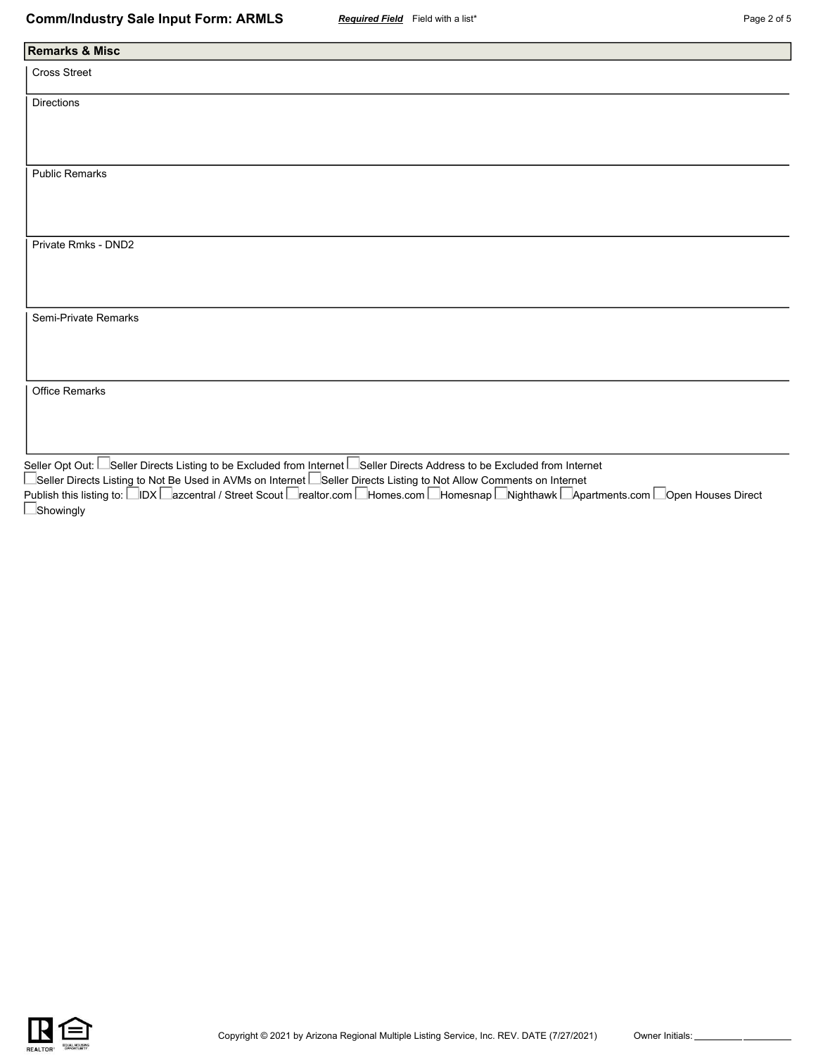| <b>Remarks &amp; Misc</b> |
|---------------------------|
| Cross Street              |
| Directions                |
|                           |
|                           |
| <b>Public Remarks</b>     |
|                           |
| Private Rmks - DND2       |
|                           |
|                           |
| Semi-Private Remarks      |
|                           |
|                           |
| Office Remarks            |
|                           |
| $\Box$ .<br>$\Box$        |

Seller Opt Out: Seller Directs Listing to be Excluded from Internet Seller Directs Address to be Excluded from Internet Seller Directs Listing to Not Be Used in AVMs on Internet L\_Seller Directs Listing to Not Allow Comments on Internet Publish this listing to: ⊟IDX ⊟azcentral / Street Scout ⊟realtor.com ⊟Homes.com ⊟Homesnap ⊡Nighthawk ⊡Apartments.com ⊟Open Houses Direct **Showingly** 

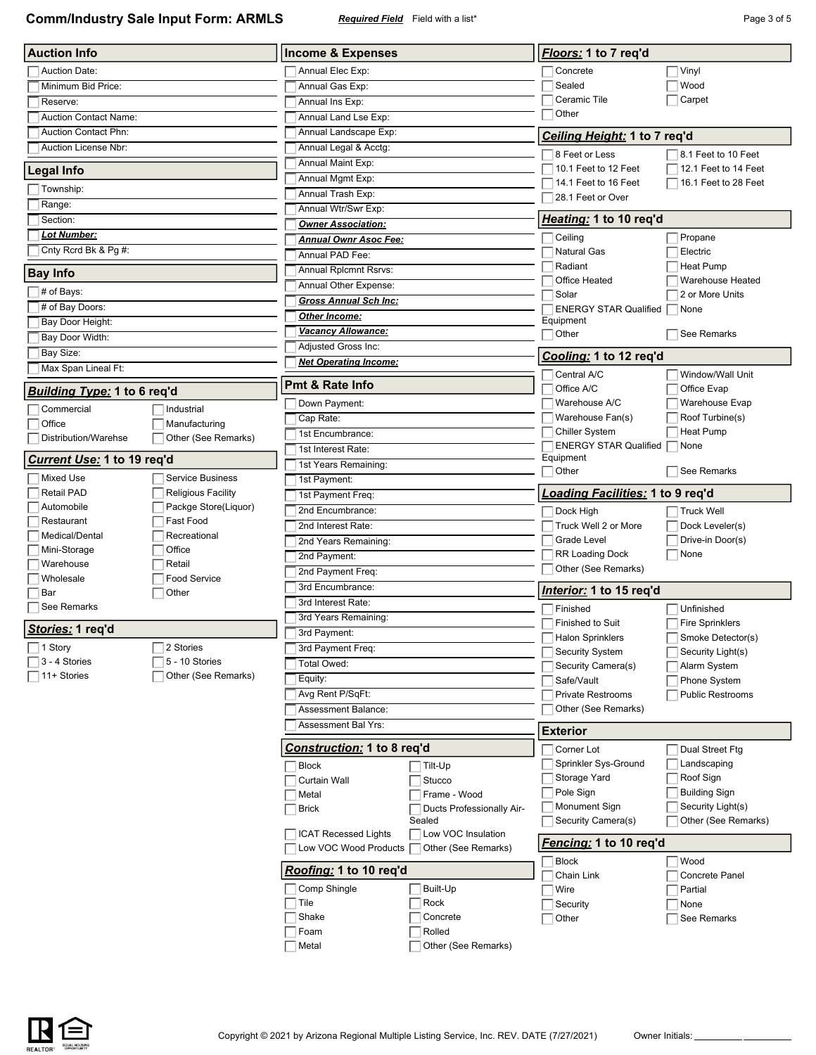**Comm/Industry Sale Input Form: ARMLS** *Required Field* Field with a list\* **Page 3 of 5** Page 3 of 5

| <b>Auction Info</b>              |                           | <b>Income &amp; Expenses</b>                         |                                           |  | Floors: 1 to 7 req'd                      |                                             |  |
|----------------------------------|---------------------------|------------------------------------------------------|-------------------------------------------|--|-------------------------------------------|---------------------------------------------|--|
| <b>Auction Date:</b>             |                           | Annual Elec Exp:                                     |                                           |  | Concrete                                  | Vinyl                                       |  |
| Minimum Bid Price:               |                           | Annual Gas Exp:                                      |                                           |  | Sealed                                    | Wood                                        |  |
| Reserve:                         |                           | Annual Ins Exp:                                      |                                           |  | Ceramic Tile                              | Carpet                                      |  |
| <b>Auction Contact Name:</b>     |                           | Annual Land Lse Exp:                                 |                                           |  | Other                                     |                                             |  |
| <b>Auction Contact Phn:</b>      |                           | Annual Landscape Exp:                                |                                           |  | Ceiling Height: 1 to 7 req'd              |                                             |  |
| Auction License Nbr:             |                           | Annual Legal & Acctg:                                |                                           |  |                                           |                                             |  |
|                                  |                           | Annual Maint Exp:                                    |                                           |  | 8 Feet or Less<br>10.1 Feet to 12 Feet    | 8.1 Feet to 10 Feet<br>12.1 Feet to 14 Feet |  |
| <b>Legal Info</b>                |                           | Annual Mgmt Exp:                                     |                                           |  | 14.1 Feet to 16 Feet                      | 16.1 Feet to 28 Feet                        |  |
| Township:                        |                           | Annual Trash Exp:                                    |                                           |  | 28.1 Feet or Over                         |                                             |  |
| Range:                           |                           | Annual Wtr/Swr Exp:                                  |                                           |  |                                           |                                             |  |
| Section:                         |                           | <b>Owner Association:</b>                            |                                           |  | Heating: 1 to 10 req'd                    |                                             |  |
| <b>Lot Number:</b>               |                           | <b>Annual Ownr Asoc Fee:</b>                         |                                           |  | Ceiling                                   | Propane                                     |  |
| Cnty Rcrd Bk & Pg #:             |                           | Annual PAD Fee:                                      |                                           |  | Natural Gas                               | Electric                                    |  |
| <b>Bay Info</b>                  |                           | Annual Rplcmnt Rsrvs:                                |                                           |  | Radiant                                   | Heat Pump                                   |  |
|                                  |                           | Annual Other Expense:                                |                                           |  | Office Heated                             | Warehouse Heated                            |  |
| # of Bays:                       |                           | <b>Gross Annual Sch Inc:</b>                         |                                           |  | Solar                                     | 2 or More Units                             |  |
| # of Bay Doors:                  |                           | Other Income:                                        |                                           |  | <b>ENERGY STAR Qualified</b><br>Equipment | None                                        |  |
| Bay Door Height:                 |                           | <b>Vacancy Allowance:</b>                            |                                           |  | Other                                     | See Remarks                                 |  |
| Bay Door Width:                  |                           | Adjusted Gross Inc:                                  |                                           |  |                                           |                                             |  |
| Bay Size:<br>Max Span Lineal Ft: |                           | <b>Net Operating Income:</b>                         |                                           |  | Cooling: 1 to 12 reg'd                    |                                             |  |
|                                  |                           | <b>Pmt &amp; Rate Info</b>                           |                                           |  | Central A/C                               | Window/Wall Unit                            |  |
| Building Type: 1 to 6 req'd      |                           |                                                      |                                           |  | Office A/C                                | Office Evap                                 |  |
| Commercial                       | Industrial                | Down Payment:                                        |                                           |  | Warehouse A/C<br>Warehouse Fan(s)         | Warehouse Evap                              |  |
| Office                           | Manufacturing             | Cap Rate:                                            |                                           |  |                                           | Roof Turbine(s)                             |  |
| Distribution/Warehse             | Other (See Remarks)       | 1st Encumbrance:                                     |                                           |  | <b>Chiller System</b>                     | Heat Pump                                   |  |
|                                  |                           | 1st Interest Rate:                                   |                                           |  | <b>ENERGY STAR Qualified</b><br>Equipment | None                                        |  |
| Current Use: 1 to 19 req'd       |                           | 1st Years Remaining:                                 |                                           |  | Other                                     | See Remarks                                 |  |
| <b>Mixed Use</b>                 | <b>Service Business</b>   | 1st Payment:                                         |                                           |  |                                           |                                             |  |
| <b>Retail PAD</b>                | <b>Religious Facility</b> |                                                      | 1st Payment Freq:                         |  |                                           | Loading Facilities: 1 to 9 req'd            |  |
| Automobile                       | Packge Store(Liquor)      |                                                      | 2nd Encumbrance:                          |  |                                           | <b>Truck Well</b>                           |  |
| Restaurant                       | Fast Food                 | 2nd Interest Rate:                                   |                                           |  | Truck Well 2 or More                      | Dock Leveler(s)                             |  |
| Medical/Dental                   | Recreational<br>Office    | 2nd Years Remaining:                                 |                                           |  | Grade Level                               | Drive-in Door(s)                            |  |
| Mini-Storage<br>Warehouse        | Retail                    | 2nd Payment:                                         |                                           |  | <b>RR Loading Dock</b>                    | None                                        |  |
| Wholesale                        | <b>Food Service</b>       | 2nd Payment Freq:                                    |                                           |  | Other (See Remarks)                       |                                             |  |
| Bar                              | Other                     | 3rd Encumbrance:                                     |                                           |  | Interior: 1 to 15 req'd                   |                                             |  |
| See Remarks                      |                           | 3rd Interest Rate:                                   |                                           |  | Finished                                  | Unfinished                                  |  |
|                                  |                           | 3rd Years Remaining:                                 |                                           |  | Finished to Suit                          | <b>Fire Sprinklers</b>                      |  |
| <u>Stories:</u> 1 req'd          |                           | 3rd Payment:                                         |                                           |  | <b>Halon Sprinklers</b>                   | Smoke Detector(s)                           |  |
| 1 Story                          | 2 Stories                 | 3rd Payment Freq:                                    |                                           |  | <b>Security System</b>                    | Security Light(s)                           |  |
| 3 - 4 Stories                    | 5 - 10 Stories            | Total Owed:                                          |                                           |  | Security Camera(s)                        | Alarm System                                |  |
| 11+ Stories                      | Other (See Remarks)       | Equity:                                              |                                           |  | Safe/Vault                                | Phone System                                |  |
|                                  |                           | Avg Rent P/SqFt:                                     |                                           |  | <b>Private Restrooms</b>                  | <b>Public Restrooms</b>                     |  |
|                                  |                           | Assessment Balance:                                  |                                           |  | Other (See Remarks)                       |                                             |  |
|                                  |                           | Assessment Bal Yrs:                                  |                                           |  | Exterior                                  |                                             |  |
|                                  |                           | Construction: 1 to 8 reg'd                           |                                           |  | Corner Lot                                | Dual Street Ftg                             |  |
|                                  |                           | <b>Block</b>                                         | Tilt-Up                                   |  | Sprinkler Sys-Ground                      | Landscaping                                 |  |
|                                  |                           | <b>Curtain Wall</b>                                  | Stucco                                    |  | Storage Yard                              | Roof Sign                                   |  |
|                                  |                           | Metal                                                | Frame - Wood                              |  | Pole Sign                                 | <b>Building Sign</b>                        |  |
|                                  |                           | <b>Brick</b>                                         | Ducts Professionally Air-                 |  | Monument Sign                             | Security Light(s)                           |  |
|                                  |                           |                                                      | Sealed                                    |  | Security Camera(s)                        | Other (See Remarks)                         |  |
|                                  |                           | <b>ICAT Recessed Lights</b><br>Low VOC Wood Products | Low VOC Insulation<br>Other (See Remarks) |  | <u>Fencing:</u> 1 to 10 req'd             |                                             |  |
|                                  |                           | Roofing: 1 to 10 req'd                               |                                           |  | <b>Block</b>                              | Wood                                        |  |
|                                  |                           |                                                      |                                           |  | Chain Link                                | Concrete Panel                              |  |
|                                  |                           | Comp Shingle                                         | Built-Up                                  |  | Wire                                      | Partial                                     |  |
|                                  |                           | Tile                                                 | Rock                                      |  | Security                                  | None                                        |  |
|                                  |                           | Shake                                                | Concrete                                  |  | Other                                     | See Remarks                                 |  |
|                                  |                           | Foam                                                 | Rolled                                    |  |                                           |                                             |  |
|                                  |                           | Metal                                                | Other (See Remarks)                       |  |                                           |                                             |  |

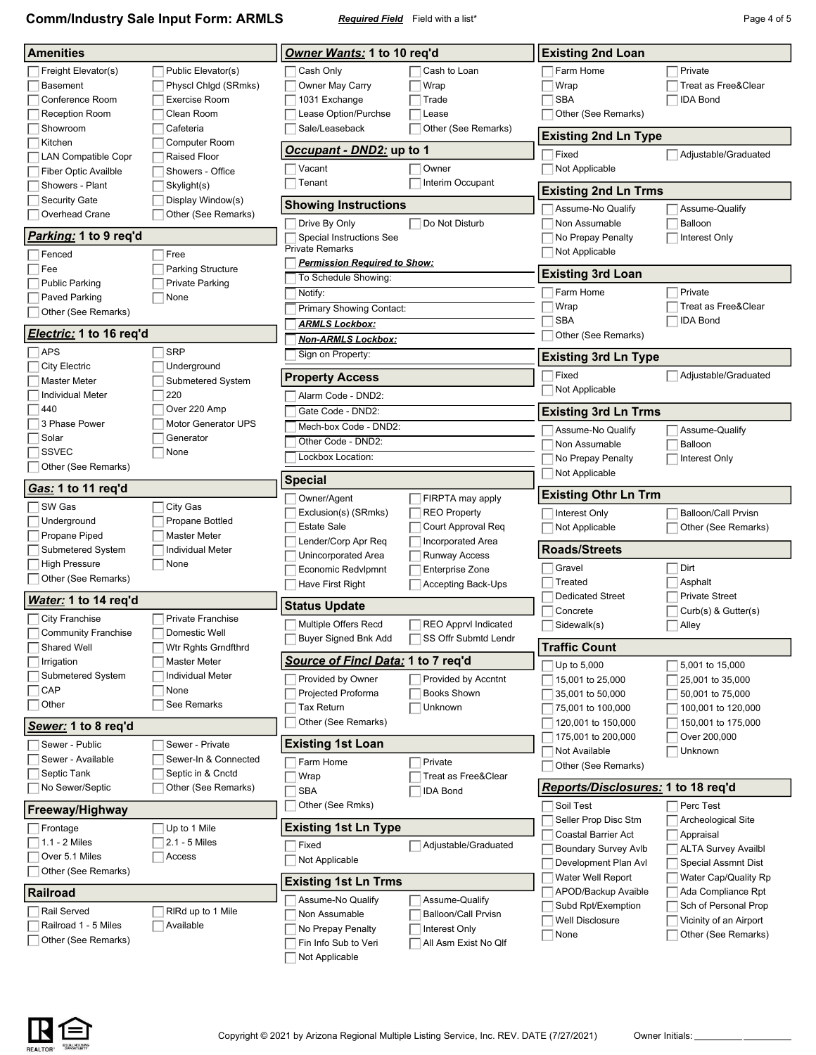**Comm/Industry Sale Input Form: ARMLS** *Required Field* Field with a list\* **Page 4 of 5** Page 4 of 5

| <b>Amenities</b>               |                          | Owner Wants: 1 to 10 req'd             |                             | <b>Existing 2nd Loan</b>              |                                                |
|--------------------------------|--------------------------|----------------------------------------|-----------------------------|---------------------------------------|------------------------------------------------|
| Freight Elevator(s)            | Public Elevator(s)       | Cash Only                              | Cash to Loan                | Farm Home                             | Private                                        |
| <b>Basement</b>                | Physcl Chlgd (SRmks)     | Owner May Carry                        | Wrap                        | Wrap                                  | Treat as Free&Clear                            |
| Conference Room                | <b>Exercise Room</b>     | 1031 Exchange                          | Trade                       | <b>SBA</b>                            | <b>IDA Bond</b>                                |
| <b>Reception Room</b>          | Clean Room               | Lease Option/Purchse                   | Lease                       | Other (See Remarks)                   |                                                |
| Showroom                       | Cafeteria                | Sale/Leaseback                         | Other (See Remarks)         |                                       |                                                |
| Kitchen                        | Computer Room            |                                        |                             | <b>Existing 2nd Ln Type</b>           |                                                |
| <b>LAN Compatible Copr</b>     | <b>Raised Floor</b>      | Occupant - DND2: up to 1               |                             | Fixed                                 | Adjustable/Graduated                           |
| <b>Fiber Optic Availble</b>    | Showers - Office         | Vacant                                 | Owner                       | Not Applicable                        |                                                |
| Showers - Plant                | Skylight(s)              | Tenant                                 | Interim Occupant            | <b>Existing 2nd Ln Trms</b>           |                                                |
| Security Gate                  | Display Window(s)        | <b>Showing Instructions</b>            |                             | Assume-No Qualify                     | Assume-Qualify                                 |
| Overhead Crane                 | Other (See Remarks)      | Drive By Only                          | Do Not Disturb              | Non Assumable                         | Balloon                                        |
| Parking: 1 to 9 req'd          |                          | Special Instructions See               |                             | No Prepay Penalty                     | Interest Only                                  |
| Fenced                         | Free                     | <b>Private Remarks</b>                 |                             | Not Applicable                        |                                                |
| Fee                            | <b>Parking Structure</b> | <b>Permission Required to Show:</b>    |                             | <b>Existing 3rd Loan</b>              |                                                |
| <b>Public Parking</b>          | <b>Private Parking</b>   | To Schedule Showing:                   |                             |                                       |                                                |
| Paved Parking                  | None                     | Notify:                                |                             | Farm Home                             | Private                                        |
| Other (See Remarks)            |                          | Primary Showing Contact:               |                             | Wrap                                  | Treat as Free&Clear                            |
| <i>Electric:</i> 1 to 16 req'd |                          | <b>ARMLS Lockbox:</b>                  |                             | <b>SBA</b><br>Other (See Remarks)     | <b>IDA Bond</b>                                |
| <b>APS</b>                     | <b>SRP</b>               | <u>Non-ARMLS Lockbox:</u>              |                             |                                       |                                                |
| <b>City Electric</b>           | Underground              | Sign on Property:                      |                             | <b>Existing 3rd Ln Type</b>           |                                                |
| <b>Master Meter</b>            | Submetered System        | <b>Property Access</b>                 |                             | Fixed                                 | Adjustable/Graduated                           |
| <b>Individual Meter</b>        | 220                      | Alarm Code - DND2:                     |                             | Not Applicable                        |                                                |
| 440                            | Over 220 Amp             | Gate Code - DND2:                      |                             | <b>Existing 3rd Ln Trms</b>           |                                                |
| 3 Phase Power                  | Motor Generator UPS      | Mech-box Code - DND2:                  |                             | Assume-No Qualify                     | Assume-Qualify                                 |
| Solar                          | Generator                | Other Code - DND2:                     |                             | Non Assumable                         | Balloon                                        |
| <b>SSVEC</b>                   | None                     | Lockbox Location:                      |                             | No Prepay Penalty                     | Interest Only                                  |
| Other (See Remarks)            |                          | <b>Special</b>                         |                             | Not Applicable                        |                                                |
| Gas: 1 to 11 req'd             |                          | Owner/Agent                            | FIRPTA may apply            | <b>Existing Othr Ln Trm</b>           |                                                |
| SW Gas                         | City Gas                 | Exclusion(s) (SRmks)                   | <b>REO Property</b>         | Interest Only                         | <b>Balloon/Call Prvisn</b>                     |
| Underground                    | Propane Bottled          | <b>Estate Sale</b>                     | Court Approval Req          | Not Applicable                        | Other (See Remarks)                            |
| Propane Piped                  | <b>Master Meter</b>      | Lender/Corp Apr Req                    | Incorporated Area           |                                       |                                                |
| Submetered System              | <b>Individual Meter</b>  | Unincorporated Area                    | <b>Runway Access</b>        | <b>Roads/Streets</b>                  |                                                |
| <b>High Pressure</b>           | None                     | <b>Economic Redvlpmnt</b>              | Enterprise Zone             | Gravel                                | Dirt                                           |
| Other (See Remarks)            |                          | Have First Right                       | Accepting Back-Ups          | Treated                               | Asphalt                                        |
| Water: 1 to 14 req'd           |                          | <b>Status Update</b>                   |                             | <b>Dedicated Street</b>               | <b>Private Street</b>                          |
| <b>City Franchise</b>          | <b>Private Franchise</b> | <b>Multiple Offers Recd</b>            | <b>REO Apprvl Indicated</b> | Concrete<br>Sidewalk(s)               | Curb(s) & Gutter(s)<br>Alley                   |
| <b>Community Franchise</b>     | Domestic Well            | Buyer Signed Bnk Add                   | SS Offr Submtd Lendr        |                                       |                                                |
| Shared Well                    | Wtr Rghts Grndfthrd      |                                        |                             | <b>Traffic Count</b>                  |                                                |
| Irrigation                     | <b>Master Meter</b>      | Source of Fincl Data: 1 to 7 req'd     |                             | Up to 5,000                           | 5,001 to 15,000                                |
| Submetered System              | <b>Individual Meter</b>  | Provided by Owner                      | Provided by Accntnt         | 15,001 to 25,000                      | 25,001 to 35,000                               |
| CAP                            | None                     | Projected Proforma                     | <b>Books Shown</b>          | 35,001 to 50,000                      | 50,001 to 75,000                               |
| Other                          | See Remarks              | Tax Return                             | Unknown                     | 75,001 to 100,000                     | 100,001 to 120,000                             |
| Sewer: 1 to 8 req'd            |                          | Other (See Remarks)                    |                             | 120,001 to 150,000                    | 150,001 to 175,000                             |
| Sewer - Public                 | Sewer - Private          | <b>Existing 1st Loan</b>               |                             | 175,001 to 200,000                    | Over 200,000                                   |
| Sewer - Available              | Sewer-In & Connected     | Farm Home                              | Private                     | Not Available                         | Unknown                                        |
| Septic Tank                    | Septic in & Cnctd        | Wrap                                   | Treat as Free&Clear         | Other (See Remarks)                   |                                                |
| No Sewer/Septic                | Other (See Remarks)      | <b>SBA</b>                             | <b>IDA Bond</b>             | Reports/Disclosures: 1 to 18 req'd    |                                                |
| <b>Freeway/Highway</b>         |                          |                                        |                             |                                       |                                                |
|                                |                          | Other (See Rmks)                       |                             | Soil Test                             | Perc Test                                      |
| Frontage                       | Up to 1 Mile             | <b>Existing 1st Ln Type</b>            |                             | Seller Prop Disc Stm                  | Archeological Site                             |
| $1.1 - 2$ Miles                | 2.1 - 5 Miles            |                                        |                             | Coastal Barrier Act                   | Appraisal                                      |
| Over 5.1 Miles                 | Access                   | Fixed                                  | Adjustable/Graduated        | <b>Boundary Survey Avlb</b>           | <b>ALTA Survey Availbl</b>                     |
| Other (See Remarks)            |                          | Not Applicable                         |                             | Development Plan Avl                  | Special Assmnt Dist                            |
|                                |                          | <b>Existing 1st Ln Trms</b>            |                             | Water Well Report                     | Water Cap/Quality Rp                           |
| Railroad                       |                          | Assume-No Qualify                      | Assume-Qualify              | APOD/Backup Avaible                   | Ada Compliance Rpt                             |
| Rail Served                    | RIRd up to 1 Mile        | Non Assumable                          | <b>Balloon/Call Prvisn</b>  | Subd Rpt/Exemption<br>Well Disclosure | Sch of Personal Prop<br>Vicinity of an Airport |
| Railroad 1 - 5 Miles           | Available                | No Prepay Penalty                      | Interest Only               | None                                  | Other (See Remarks)                            |
| Other (See Remarks)            |                          | Fin Info Sub to Veri<br>Not Applicable | All Asm Exist No Qlf        |                                       |                                                |

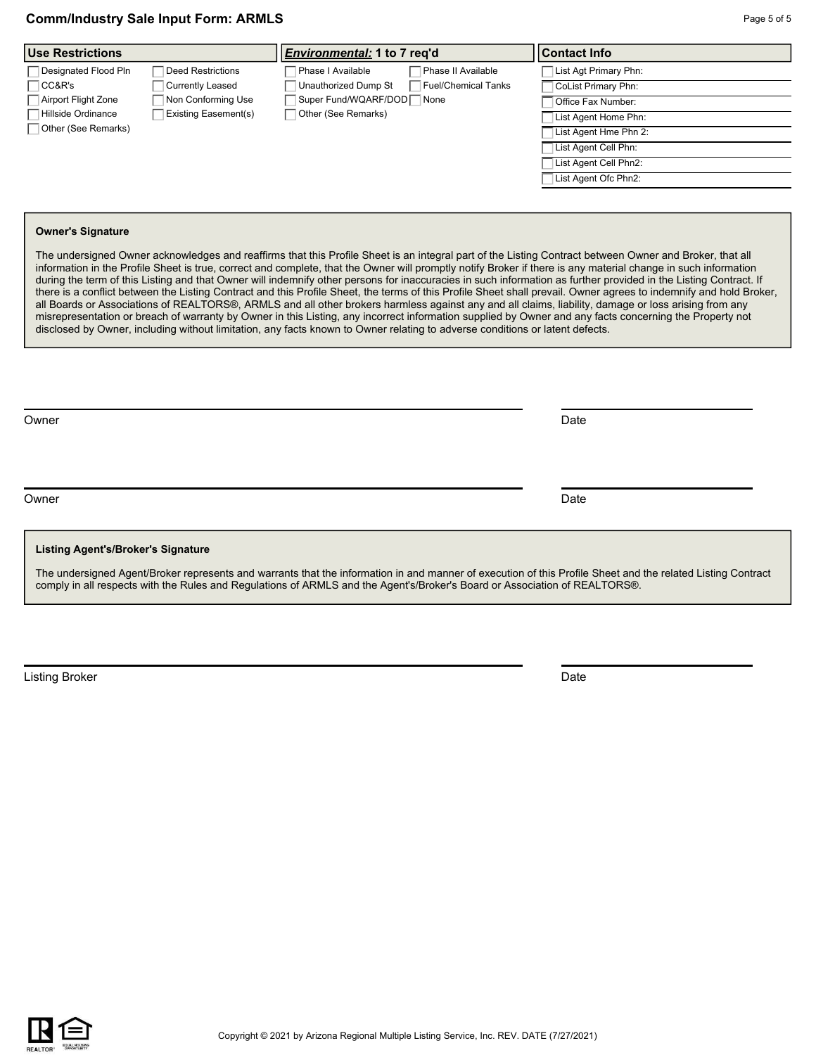| <b>Use Restrictions</b>                           | <i>Environmental:</i> 1 to 7 reg'd          | <b>Contact Info</b>   |
|---------------------------------------------------|---------------------------------------------|-----------------------|
| Designated Flood Pln<br>Deed Restrictions         | Phase I Available<br>Phase II Available     | List Agt Primary Phn: |
| CC&R's<br>Currently Leased                        | Unauthorized Dump St<br>Fuel/Chemical Tanks | CoList Primary Phn:   |
| Non Conforming Use<br>Airport Flight Zone         | Super Fund/WQARF/DOD None                   | Office Fax Number:    |
| Hillside Ordinance<br><b>Existing Easement(s)</b> | Other (See Remarks)                         | List Agent Home Phn:  |
| Other (See Remarks)                               |                                             | List Agent Hme Phn 2: |
|                                                   |                                             | List Agent Cell Phn:  |
|                                                   |                                             | List Agent Cell Phn2: |
|                                                   |                                             | List Agent Ofc Phn2:  |
|                                                   |                                             |                       |

#### **Owner's Signature**

The undersigned Owner acknowledges and reaffirms that this Profile Sheet is an integral part of the Listing Contract between Owner and Broker, that all information in the Profile Sheet is true, correct and complete, that the Owner will promptly notify Broker if there is any material change in such information during the term of this Listing and that Owner will indemnify other persons for inaccuracies in such information as further provided in the Listing Contract. If there is a conflict between the Listing Contract and this Profile Sheet, the terms of this Profile Sheet shall prevail. Owner agrees to indemnify and hold Broker, all Boards or Associations of REALTORS®, ARMLS and all other brokers harmless against any and all claims, liability, damage or loss arising from any misrepresentation or breach of warranty by Owner in this Listing, any incorrect information supplied by Owner and any facts concerning the Property not disclosed by Owner, including without limitation, any facts known to Owner relating to adverse conditions or latent defects.

Owner **Date** 

Owner **Date** 

#### **Listing Agent's/Broker's Signature**

The undersigned Agent/Broker represents and warrants that the information in and manner of execution of this Profile Sheet and the related Listing Contract comply in all respects with the Rules and Regulations of ARMLS and the Agent's/Broker's Board or Association of REALTORS®.

Listing Broker Date

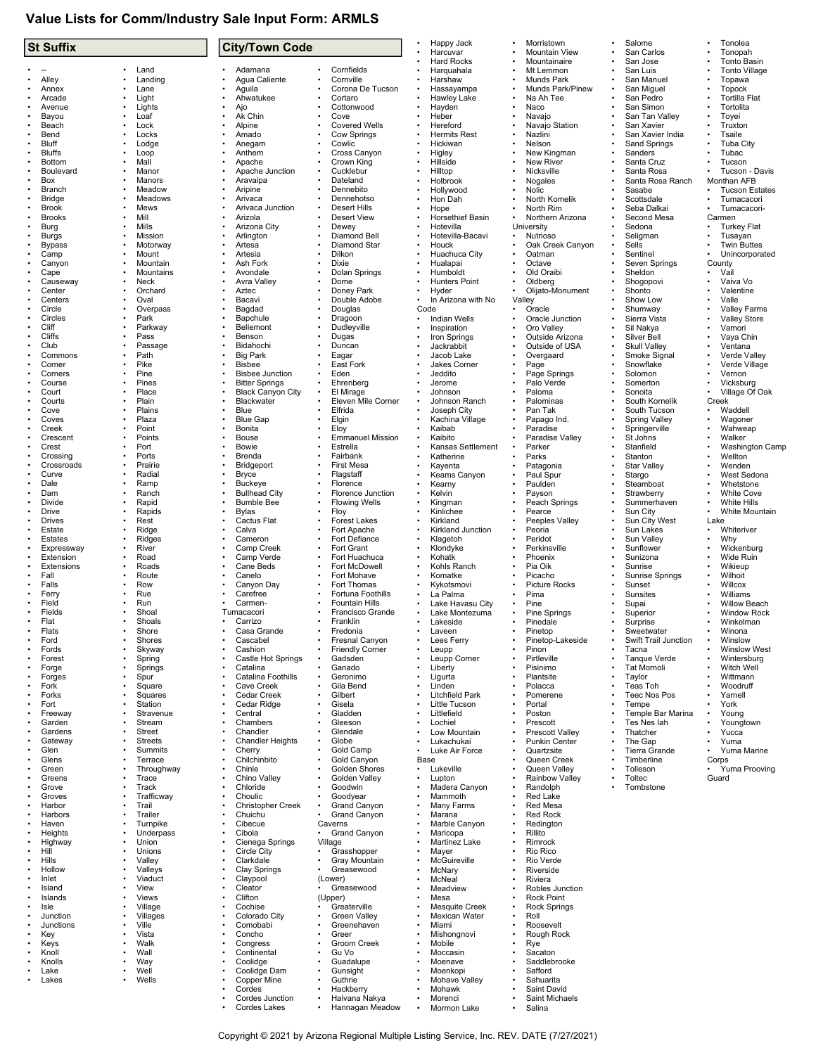## **Value Lists for Comm/Industry Sale Input Form: ARMLS**

| <b>St Suffix</b>              |                                 |                        | <b>City/Town Code</b>                           |           |                                          |                        | Happy Jack                         |   | Morristown                                     | Salome                                | Tonolea                                   |
|-------------------------------|---------------------------------|------------------------|-------------------------------------------------|-----------|------------------------------------------|------------------------|------------------------------------|---|------------------------------------------------|---------------------------------------|-------------------------------------------|
|                               |                                 |                        |                                                 |           |                                          |                        | Harcuvar<br><b>Hard Rocks</b>      |   | Mountain View<br>Mountainaire                  | San Carlos<br>San Jose                | Tonopah<br>Tonto Basin                    |
|                               | Land                            |                        | Adamana                                         |           | Cornfields                               |                        | Harquahala                         |   | Mt Lemmon                                      | San Luis                              | <b>Tonto Village</b>                      |
| Alley                         | Landing                         | $\bullet$              | Agua Caliente                                   |           | Cornville                                |                        | Harshaw                            |   | Munds Park                                     | San Manuel                            | Topawa                                    |
| Annex                         | Lane                            |                        | Aguila                                          |           | Corona De Tucson                         | $\bullet$              | Hassayampa                         |   | Munds Park/Pinew                               | San Miguel                            | <b>Topock</b>                             |
| Arcade<br>Avenue              | Light<br>Lights                 |                        | Ahwatukee<br>Ajo                                |           | Cortaro<br>Cottonwood                    |                        | Hawley Lake<br>Hayden              |   | Na Ah Tee<br>Naco                              | San Pedro<br>San Simon                | <b>Tortilla Flat</b><br>Tortolita         |
| Bayou                         | Loaf                            |                        | Ak Chin                                         |           | Cove                                     |                        | Heber                              |   | Navajo                                         | San Tan Valley                        | Toyei                                     |
| Beach                         | Lock                            |                        | Alpine                                          |           | <b>Covered Wells</b>                     |                        | Hereford                           |   | Navajo Station                                 | San Xavier                            | Truxton                                   |
| Bend                          | Locks                           |                        | Amado                                           |           | Cow Springs                              |                        | <b>Hermits Rest</b>                |   | Nazlini                                        | San Xavier India                      | Tsaile                                    |
| Bluff<br><b>Bluffs</b>        | Lodge<br>Loop                   |                        | Anegam<br>Anthem                                |           | Cowlic<br>Cross Canyon                   |                        | Hickiwan<br>Higley                 |   | Nelson<br>New Kingman                          | Sand Springs<br>Sanders               | <b>Tuba City</b><br>Tubac                 |
| <b>Bottom</b>                 | Mall                            |                        | Apache                                          |           | Crown King                               |                        | Hillside                           |   | <b>New River</b>                               | Santa Cruz                            | Tucson                                    |
| Boulevard                     | Manor                           |                        | Apache Junction                                 |           | Cucklebur                                |                        | Hilltop                            |   | Nicksville                                     | Santa Rosa                            | Tucson - Davis                            |
| Box                           | Manors                          |                        | Aravaipa                                        |           | Dateland                                 |                        | Holbrook                           |   | Nogales                                        | Santa Rosa Ranch                      | Monthan AFB                               |
| Branch<br><b>Bridge</b>       | Meadow<br>Meadows               |                        | Aripine<br>Arivaca                              |           | Dennebito<br>Dennehotso                  |                        | Hollywood<br>Hon Dah               |   | Nolic<br>North Komelik                         | Sasabe<br>Scottsdale                  | <b>Tucson Estates</b><br>Tumacacori       |
| <b>Brook</b>                  | Mews                            |                        | Arivaca Junction                                |           | Desert Hills                             |                        | Hope                               |   | North Rim                                      | Seba Dalkai                           | Tumacacori-                               |
| <b>Brooks</b>                 | Mill                            |                        | Arizola                                         |           | <b>Desert View</b>                       |                        | Horsethief Basin                   |   | Northern Arizona                               | Second Mesa                           | Carmen                                    |
| Burg                          | Mills                           |                        | Arizona City                                    |           | Dewey                                    |                        | Hotevilla                          |   | University                                     | Sedona                                | <b>Turkey Flat</b>                        |
| <b>Burgs</b><br><b>Bypass</b> | Mission<br>Motorway             |                        | Arlington<br>Artesa                             |           | Diamond Bell<br>Diamond Star             |                        | Hotevilla-Bacavi<br>Houck          | ٠ | Nutrioso<br>Oak Creek Canyon                   | Seligman<br>Sells                     | Tusayan<br><b>Twin Buttes</b>             |
| Camp                          | Mount                           |                        | Artesia                                         |           | Dilkon                                   |                        | Huachuca City                      |   | Oatman                                         | Sentinel                              | Unincorporated                            |
| Canyon                        | Mountain                        |                        | Ash Fork                                        |           | Dixie                                    |                        | Hualapai                           |   | Octave                                         | Seven Springs                         | County                                    |
| Cape                          | Mountains                       |                        | Avondale                                        |           | Dolan Springs                            |                        | Humboldt                           |   | Old Oraibi                                     | Sheldon                               | Vail                                      |
| Causeway<br>Center            | Neck<br>Orchard                 |                        | Avra Valley<br>Aztec                            |           | Dome<br>Doney Park                       |                        | <b>Hunters Point</b><br>Hyder      |   | Oldberg<br>Olijato-Monument                    | Shogopovi<br>Shonto                   | Vaiva Vo<br>Valentine                     |
| Centers                       | Oval                            |                        | Bacavi                                          |           | Double Adobe                             |                        | In Arizona with No                 |   | Valley                                         | Show Low                              | Valle                                     |
| Circle                        | Overpass                        |                        | Bagdad                                          |           | Douglas                                  | Code                   |                                    |   | Oracle                                         | Shumway                               | <b>Valley Farms</b>                       |
| Circles                       | Park                            |                        | Bapchule                                        |           | Dragoon                                  |                        | <b>Indian Wells</b>                |   | Oracle Junction                                | Sierra Vista                          | <b>Valley Store</b>                       |
| Cliff<br>Cliffs               | Parkway<br>Pass                 |                        | Bellemont<br>Benson                             |           | Dudleyville<br>Dugas                     |                        | Inspiration<br>Iron Springs        |   | Oro Valley<br>Outside Arizona                  | Sil Nakya<br>Silver Bell              | Vamori<br>Vaya Chin                       |
| Club                          | Passage                         |                        | Bidahochi                                       |           | Duncan                                   |                        | Jackrabbit                         |   | Outside of USA                                 | <b>Skull Valley</b>                   | Ventana                                   |
| Commons                       | Path                            |                        | <b>Big Park</b>                                 |           | Eagar                                    |                        | Jacob Lake                         |   | Overgaard                                      | Smoke Signal                          | Verde Valley                              |
| Corner                        | Pike                            |                        | <b>Bisbee</b>                                   |           | East Fork                                |                        | Jakes Corner                       |   | Page                                           | Snowflake                             | Verde Village                             |
| Corners<br>Course             | Pine<br>Pines                   |                        | <b>Bisbee Junction</b><br><b>Bitter Springs</b> |           | Eden<br>Ehrenberg                        |                        | Jeddito<br>Jerome                  |   | Page Springs<br>Palo Verde                     | Solomon<br>Somerton                   | Vernon<br>Vicksburg                       |
| Court                         | Place                           |                        | <b>Black Canyon City</b>                        |           | El Mirage                                |                        | Johnson                            |   | Paloma                                         | Sonoita                               | Village Of Oak                            |
| Courts                        | Plain                           |                        | Blackwater                                      |           | Eleven Mile Corner                       |                        | Johnson Ranch                      |   | Palominas                                      | South Kornelik                        | Creek                                     |
| Cove                          | Plains                          |                        | Blue                                            |           | Elfrida                                  |                        | Joseph City                        |   | Pan Tak                                        | South Tucson                          | Waddell                                   |
| Coves<br>Creek                | Plaza<br>Point                  |                        | <b>Blue Gap</b><br>Bonita                       |           | Elgin<br>Eloy                            | $\bullet$              | Kachina Village<br>Kaibab          |   | Papago Ind.<br>Paradise                        | <b>Spring Valley</b><br>Springerville | Wagoner<br>Wahweap                        |
| Crescent                      | Points                          |                        | <b>Bouse</b>                                    |           | <b>Emmanuel Mission</b>                  |                        | Kaibito                            |   | Paradise Valley                                | St Johns                              | Walker                                    |
| Crest                         | Port                            |                        | Bowie                                           |           | Estrella                                 | $\bullet$              | Kansas Settlement                  |   | Parker                                         | Stanfield                             | Washington Camp                           |
| Crossing                      | Ports                           |                        | Brenda                                          |           | Fairbank                                 |                        | Katherine                          |   | Parks                                          | Stanton                               | Wellton                                   |
| Crossroads<br>Curve           | Prairie<br>Radial               |                        | Bridgeport<br><b>Bryce</b>                      |           | <b>First Mesa</b><br>Flagstaff           |                        | Kayenta<br>Keams Canyon            |   | Patagonia<br>Paul Spur                         | <b>Star Valley</b><br>Stargo          | Wenden<br>West Sedona                     |
| Dale                          | Ramp                            |                        | <b>Buckeye</b>                                  |           | Florence                                 |                        | Kearny                             |   | Paulden                                        | Steamboat                             | Whetstone                                 |
| Dam                           | Ranch                           |                        | <b>Bullhead City</b>                            |           | Florence Junction                        | $\bullet$              | Kelvin                             |   | Payson                                         | Strawberry                            | <b>White Cove</b>                         |
| Divide                        | Rapid                           |                        | <b>Bumble Bee</b>                               |           | <b>Flowing Wells</b>                     |                        | Kingman                            |   | Peach Springs                                  | Summerhaven                           | <b>White Hills</b>                        |
| Drive<br><b>Drives</b>        | Rapids<br>Rest                  |                        | Bylas<br>Cactus Flat                            |           | Floy<br><b>Forest Lakes</b>              |                        | Kinlichee<br>Kirkland              |   | Pearce<br>Peeples Valley                       | Sun City<br>Sun City West             | White Mountain<br>Lake                    |
| Estate                        | Ridge                           |                        | Calva                                           |           | Fort Apache                              |                        | Kirkland Junction                  |   | Peoria                                         | Sun Lakes                             | Whiteriver                                |
| Estates                       | Ridges                          | $\bullet$              | Cameron                                         |           | Fort Defiance                            |                        | Klagetoh                           |   | Peridot                                        | Sun Valley                            | Why                                       |
| Expressway                    | River                           |                        | Camp Creek                                      |           | Fort Grant                               |                        | Klondyke                           |   | Perkinsville                                   | Sunflower                             | Wickenburg                                |
| Extension<br>Extensions       | Road<br>Roads                   |                        | Camp Verde<br>Cane Beds                         |           | Fort Huachuca<br>Fort McDowell           |                        | Kohatk<br>Kohls Ranch              |   | Phoenix<br>Pia Oik                             | Sunizona<br>Sunrise                   | Wide Ruin<br>Wikieup                      |
| Fall                          | Route                           |                        | Canelo                                          |           | Fort Mohave                              |                        | Komatke                            |   | Picacho                                        | Sunrise Springs                       | Wilhoit                                   |
| Falls                         | Row                             | $\bullet$              | Canyon Day                                      |           | Fort Thomas                              |                        | Kykotsmovi                         |   | <b>Picture Rocks</b>                           | Sunset                                | Willcox                                   |
| Ferry                         | Rue                             |                        | Carefree                                        |           | Fortuna Foothills                        |                        | La Palma                           |   | Pima                                           | Sunsites                              | Williams                                  |
| Field<br>Fields               | Run<br>Shoal                    |                        | Carmen-<br>Tumacacori                           |           | Fountain Hills<br>Francisco Grande       |                        | Lake Havasu City<br>Lake Montezuma |   | Pine<br>Pine Springs                           | Supai<br>Superior                     | <b>Willow Beach</b><br><b>Window Rock</b> |
| Flat                          | Shoals                          |                        | Carrizo                                         |           | Franklin                                 |                        | Lakeside                           |   | Pinedale                                       | Surprise                              | Winkelman                                 |
| Flats                         | Shore                           |                        | Casa Grande                                     |           | Fredonia                                 |                        | Laveen                             |   | Pinetop                                        | Sweetwater                            | Winona                                    |
| Ford<br>Fords                 | Shores<br>Skyway                | $\bullet$<br>$\bullet$ | Cascabel<br>Cashion                             |           | Fresnal Canyon<br><b>Friendly Corner</b> |                        | Lees Ferry                         |   | Pinetop-Lakeside<br>Pinon                      | Swift Trail Junction                  | Winslow<br><b>Winslow West</b>            |
| Forest                        | Spring                          |                        | Castle Hot Springs                              |           | Gadsden                                  |                        | Leupp<br>Leupp Corner              |   | Pirtleville                                    | Tacna<br>Tanque Verde                 | Wintersburg                               |
| Forge                         | Springs                         |                        | Catalina                                        |           | Ganado                                   |                        | Liberty                            |   | Pisinimo                                       | <b>Tat Mornoli</b>                    | Witch Well                                |
| Forges                        | Spur                            | $\bullet$              | Catalina Foothills                              |           | Geronimo                                 |                        | Ligurta                            |   | Plantsite                                      | Taylor                                | Wittmann                                  |
| Fork<br>Forks                 | Square<br>Squares               | $\bullet$              | Cave Creek<br>Cedar Creek                       |           | Gila Bend<br>Gilbert                     |                        | Linden<br>Litchfield Park          |   | Polacca                                        | Teas Toh<br><b>Teec Nos Pos</b>       | Woodruff<br>Yarnell                       |
| Fort                          | Station                         | $\bullet$              | Cedar Ridge                                     |           | Gisela                                   |                        | Little Tucson                      |   | Pomerene<br>Portal                             | Tempe                                 | York                                      |
| Freeway                       | Stravenue                       |                        | Central                                         |           | Gladden                                  |                        | Littlefield                        |   | Poston                                         | Temple Bar Marina                     | Young                                     |
| Garden                        | Stream                          | $\bullet$              | Chambers                                        |           | Gleeson                                  |                        | Lochiel                            |   | Prescott                                       | Tes Nes lah                           | Youngtown                                 |
| Gardens<br>Gateway            | <b>Street</b><br><b>Streets</b> | $\bullet$              | Chandler<br><b>Chandler Heights</b>             |           | Glendale<br>Globe                        |                        | Low Mountain<br>Lukachukai         |   | <b>Prescott Valley</b><br><b>Punkin Center</b> | Thatcher<br>The Gap                   | Yucca<br>Yuma                             |
| Glen                          | <b>Summits</b>                  | $\bullet$              | Cherry                                          |           | Gold Camp                                |                        | Luke Air Force                     |   | Quartzsite                                     | <b>Tierra Grande</b>                  | Yuma Marine                               |
| Glens                         | Terrace                         | $\bullet$              | Chilchinbito                                    |           | Gold Canyon                              | Base                   |                                    |   | Queen Creek                                    | Timberline                            | Corps                                     |
| Green                         | Throughway                      | $\bullet$              | Chinle                                          |           | Golden Shores                            | $\bullet$              | Lukeville                          |   | Queen Valley                                   | Tolleson                              | Yuma Prooving                             |
| Greens<br>Grove               | Trace<br>Track                  |                        | Chino Valley<br>Chloride                        |           | Golden Valley<br>Goodwin                 |                        | Lupton<br>Madera Canyon            |   | Rainbow Valley<br>Randolph                     | Toltec<br>Tombstone                   | Guard                                     |
| Groves                        | Trafficway                      |                        | Choulic                                         |           | Goodyear                                 |                        | Mammoth                            |   | Red Lake                                       |                                       |                                           |
| Harbor                        | Trail                           |                        | Christopher Creek                               |           | Grand Canyon                             |                        | Many Farms                         |   | Red Mesa                                       |                                       |                                           |
| Harbors                       | Trailer                         | $\bullet$              | Chuichu                                         |           | Grand Canyon                             | $\bullet$              | Marana                             |   | <b>Red Rock</b>                                |                                       |                                           |
| Haven<br>Heights              | Turnpike<br>Underpass           | $\bullet$<br>$\bullet$ | Cibecue<br>Cibola                               | $\bullet$ | Caverns<br>Grand Canyon                  |                        | Marble Canyon<br>Maricopa          |   | Redington<br>Rillito                           |                                       |                                           |
| Highway                       | Union                           | $\bullet$              | Cienega Springs                                 |           | Village                                  |                        | Martinez Lake                      |   | Rimrock                                        |                                       |                                           |
| Hill                          | Unions                          |                        | Circle City                                     | $\bullet$ | Grasshopper                              |                        | Mayer                              |   | Rio Rico                                       |                                       |                                           |
| Hills                         | Valley                          | $\bullet$              | Clarkdale                                       |           | Gray Mountain                            |                        | McGuireville                       |   | Rio Verde                                      |                                       |                                           |
| Hollow<br>Inlet               | Valleys<br>Viaduct              | $\bullet$              | Clay Springs<br>Claypool                        |           | Greasewood<br>(Lower)                    |                        | McNary<br>McNeal                   |   | Riverside<br>Riviera                           |                                       |                                           |
| Island                        | View                            | $\bullet$              | Cleator                                         | $\bullet$ | Greasewood                               |                        | Meadview                           |   | Robles Junction                                |                                       |                                           |
| Islands                       | <b>Views</b>                    |                        | Clifton                                         |           | (Upper)                                  |                        | Mesa                               |   | <b>Rock Point</b>                              |                                       |                                           |
| Isle                          | Village                         | $\bullet$              | Cochise                                         |           | Greaterville                             |                        | <b>Mesquite Creek</b>              |   | <b>Rock Springs</b>                            |                                       |                                           |
| Junction<br>Junctions         | Villages<br>Ville               | $\bullet$              | Colorado City<br>Comobabi                       |           | Green Valley<br>Greenehaven              | $\bullet$              | Mexican Water<br>Miami             |   | Roll<br>Roosevelt                              |                                       |                                           |
| Key                           | Vista                           | $\bullet$              | Concho                                          |           | Greer                                    |                        | Mishongnovi                        |   | Rough Rock                                     |                                       |                                           |
| Keys                          | Walk                            | $\bullet$              | Congress                                        |           | Groom Creek                              |                        | Mobile                             |   | Rye                                            |                                       |                                           |
| Knoll                         | Wall                            | $\bullet$              | Continental                                     |           | Gu Vo                                    |                        | Moccasin                           |   | Sacaton                                        |                                       |                                           |
| Knolls<br>Lake                | Way<br>Well                     | $\bullet$              | Coolidge<br>Coolidge Dam                        |           | Guadalupe<br>Gunsight                    |                        | Moenave<br>Moenkopi                |   | Saddlebrooke<br>Safford                        |                                       |                                           |
| Lakes                         | Wells                           |                        | Copper Mine                                     |           | Guthrie                                  |                        | Mohave Valley                      |   | Sahuarita                                      |                                       |                                           |
|                               |                                 |                        | Cordes                                          |           | Hackberry                                |                        | Mohawk                             |   | Saint David                                    |                                       |                                           |
|                               |                                 | $\bullet$              | Cordes Junction<br>Cordes Lakes                 |           | Haivana Nakya<br>Hannagan Meadow         | $\bullet$<br>$\bullet$ | Morenci<br>Mormon Lake             |   | Saint Michaels<br>Salina                       |                                       |                                           |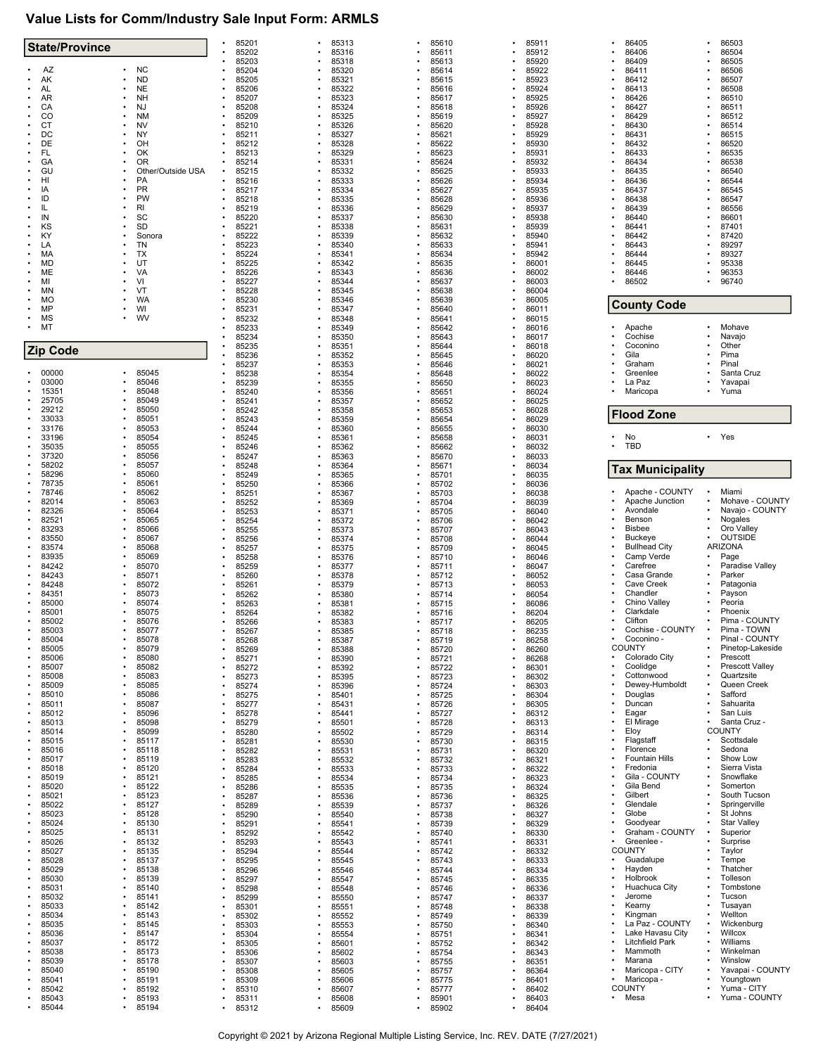# **Value Lists for Comm/Industry Sale Input Form: ARMLS**

| <b>State/Province</b> |                        | 85201<br>85202                   | 85313<br>85316 | 85610<br>85611 | 85911<br>85912 | 86405<br>86406                 | 86503<br>86504                 |
|-----------------------|------------------------|----------------------------------|----------------|----------------|----------------|--------------------------------|--------------------------------|
|                       |                        | 85203                            | 85318          | 85613          | 85920          | 86409                          | 86505                          |
| AZ<br>AK              | <b>NC</b><br><b>ND</b> | 85204<br>85205                   | 85320<br>85321 | 85614<br>85615 | 85922<br>85923 | 86411<br>86412                 | 86506<br>86507                 |
| AL                    | NE                     | 85206                            | 85322          | 85616          | 85924          | 86413                          | 86508                          |
| AR                    | <b>NH</b>              | 85207                            | 85323          | 85617          | 85925          | 86426                          | 86510                          |
| CA<br>CO              | <b>NJ</b><br><b>NM</b> | 85208<br>85209                   | 85324<br>85325 | 85618<br>85619 | 85926<br>85927 | 86427<br>86429                 | 86511<br>86512                 |
| <b>CT</b>             | <b>NV</b>              | 85210                            | 85326          | 85620          | 85928          | 86430                          | 86514                          |
| DC                    | NY                     | 85211                            | 85327          | 85621          | 85929          | 86431                          | 86515                          |
| DE                    | OH                     | 85212                            | 85328          | 85622          | 85930          | 86432                          | 86520                          |
| FL<br>GA              | ОΚ<br>ΟR               | 85213<br>85214                   | 85329<br>85331 | 85623<br>85624 | 85931<br>85932 | 86433<br>86434                 | 86535<br>86538                 |
| GU                    | Other/Outside USA      | 85215<br>$\bullet$               | 85332          | 85625          | 85933          | 86435                          | 86540                          |
| HI                    | PA                     | 85216                            | 85333          | 85626          | 85934          | 86436                          | 86544                          |
| IA<br>ID              | PR<br>PW               | 85217<br>85218                   | 85334<br>85335 | 85627<br>85628 | 85935<br>85936 | 86437<br>86438                 | 86545<br>86547                 |
| IL                    | RI                     | 85219                            | 85336          | 85629          | 85937          | 86439                          | 86556                          |
| IN                    | SC                     | 85220                            | 85337          | 85630          | 85938          | 86440                          | 86601                          |
| KS                    | <b>SD</b>              | 85221                            | 85338          | 85631          | 85939          | 86441                          | 87401                          |
| KY<br>LA              | Sonora<br>TN           | 85222<br>85223                   | 85339<br>85340 | 85632<br>85633 | 85940<br>85941 | 86442<br>86443                 | 87420<br>89297                 |
| МA                    | <b>TX</b>              | 85224                            | 85341          | 85634          | 85942          | 86444                          | 89327                          |
| <b>MD</b>             | UT                     | 85225                            | 85342          | 85635          | 86001          | 86445                          | 95338                          |
| ME<br>MI              | VA<br>VI               | 85226<br>85227                   | 85343<br>85344 | 85636<br>85637 | 86002<br>86003 | 86446<br>86502                 | 96353<br>96740                 |
| MN                    | VT                     | 85228                            | 85345          | 85638          | 86004          |                                |                                |
| МO                    | <b>WA</b>              | 85230                            | 85346          | 85639          | 86005          | <b>County Code</b>             |                                |
| MP                    | WI                     | 85231                            | 85347          | 85640          | 86011          |                                |                                |
| MS<br>МT<br>$\bullet$ | <b>WV</b>              | 85232<br>85233                   | 85348<br>85349 | 85641<br>85642 | 86015<br>86016 | Apache                         | Mohave                         |
|                       |                        | 85234                            | 85350          | 85643          | 86017          | Cochise                        | Navajo                         |
| <b>Zip Code</b>       |                        | 85235                            | 85351          | 85644          | 86018          | Coconino                       | Other                          |
|                       |                        | 85236<br>85237                   | 85352<br>85353 | 85645<br>85646 | 86020<br>86021 | Gila<br>Graham                 | Pima<br>Pinal                  |
| 00000                 | 85045                  | 85238                            | 85354          | 85648          | 86022          | Greenlee                       | Santa Cruz                     |
| 03000                 | 85046                  | 85239                            | 85355          | 85650          | 86023          | La Paz                         | Yavapai                        |
| 15351                 | 85048                  | 85240                            | 85356          | 85651          | 86024          | Maricopa                       | Yuma                           |
| 25705<br>29212        | 85049<br>85050         | 85241<br>85242                   | 85357<br>85358 | 85652<br>85653 | 86025<br>86028 |                                |                                |
| 33033                 | 85051                  | 85243                            | 85359          | 85654          | 86029          | <b>Flood Zone</b>              |                                |
| 33176                 | 85053                  | 85244                            | 85360          | 85655          | 86030          |                                |                                |
| 33196<br>35035        | 85054<br>85055         | 85245<br>85246                   | 85361          | 85658          | 86031          | No<br><b>TBD</b>               | Yes                            |
| 37320                 | 85056                  | 85247                            | 85362<br>85363 | 85662<br>85670 | 86032<br>86033 |                                |                                |
| 58202                 | 85057                  | 85248                            | 85364          | 85671          | 86034          | <b>Tax Municipality</b>        |                                |
| 58296                 | 85060                  | 85249                            | 85365          | 85701          | 86035          |                                |                                |
| 78735<br>78746        | 85061<br>85062         | 85250<br>85251                   | 85366<br>85367 | 85702<br>85703 | 86036<br>86038 | Apache - COUNTY                | Miami                          |
| 82014                 | 85063                  | 85252                            | 85369          | 85704          | 86039          | Apache Junction                | Mohave - COUNTY                |
| 82326                 | 85064                  | 85253                            | 85371          | 85705          | 86040          | Avondale                       | Navajo - COUNTY                |
| 82521<br>83293        | 85065<br>85066         | 85254                            | 85372          | 85706          | 86042          | Benson<br>Bisbee               | Nogales<br>Oro Valley          |
| 83550                 | 85067                  | 85255<br>85256                   | 85373<br>85374 | 85707<br>85708 | 86043<br>86044 | <b>Buckeye</b>                 | <b>OUTSIDE</b>                 |
| 83574                 | 85068                  | 85257                            | 85375          | 85709          | 86045          | <b>Bullhead City</b>           | ARIZONA                        |
| 83935                 | 85069                  | 85258                            | 85376          | 85710          | 86046          | Camp Verde                     | Page                           |
| 84242<br>84243        | 85070<br>85071         | 85259                            | 85377          | 85711          | 86047          | Carefree<br>Casa Grande        | Paradise Valley<br>Parker      |
| 84248                 | 85072                  | 85260<br>85261                   | 85378<br>85379 | 85712<br>85713 | 86052<br>86053 | Cave Creek                     | Patagonia                      |
| 84351                 | 85073                  | 85262                            | 85380          | 85714          | 86054          | Chandler                       | Payson                         |
| 85000                 | 85074                  | 85263                            | 85381          | 85715          | 86086          | Chino Valley                   | Peoria                         |
| 85001<br>85002        | 85075<br>85076         | 85264<br>85266                   | 85382<br>85383 | 85716<br>85717 | 86204<br>86205 | Clarkdale<br>Clifton           | Phoenix<br>Pima - COUNTY       |
| 85003                 | 85077                  | 85267                            | 85385          | 85718          | 86235          | Cochise - COUNTY               | Pima - TOWN                    |
| 85004                 | 85078                  | 85268                            | 85387          | 85719          | 86258          | Coconino -                     | Pinal - COUNTY                 |
| 85005<br>85006        | 85079<br>85080         | 85269                            | 85388          | 85720          | 86260          | <b>COUNTY</b><br>Colorado City | Pinetop-Lakeside<br>Prescott   |
| 85007                 | 85082                  | 85271<br>85272                   | 85390<br>85392 | 85721<br>85722 | 86268<br>86301 | Coolidge                       | <b>Prescott Valley</b>         |
| 85008                 | 85083                  | 85273                            | 85395          | 85723          | 86302          | Cottonwood                     | Quartzsite                     |
| 85009                 | 85085                  | 85274                            | 85396          | 85724          | 86303          | Dewey-Humboldt                 | Queen Creek                    |
| 85010<br>85011        | 85086<br>85087         | 85275                            | 85401          | 85725          | 86304          | Douglas<br>Duncan              | Safford<br>Sahuarita           |
| 85012                 | 85096                  | 85277<br>85278                   | 85431<br>85441 | 85726<br>85727 | 86305<br>86312 | Eagar                          | San Luis                       |
| 85013                 | 85098                  | 85279<br>۰                       | 85501          | 85728          | 86313          | El Mirage                      | Santa Cruz -                   |
| 85014                 | 85099                  | 85280                            | 85502          | 85729          | 86314          | Eloy                           | COUNTY<br>Scottsdale           |
| 85015<br>85016        | 85117<br>85118         | 85281<br>85282                   | 85530<br>85531 | 85730<br>85731 | 86315<br>86320 | Flagstaff<br>Florence          | Sedona                         |
| 85017                 | 85119                  | 85283                            | 85532          | 85732          | 86321          | <b>Fountain Hills</b>          | Show Low                       |
| 85018                 | 85120                  | 85284                            | 85533          | 85733          | 86322          | Fredonia                       | Sierra Vista                   |
| 85019<br>85020        | 85121                  | 85285                            | 85534          | 85734          | 86323          | Gila - COUNTY<br>Gila Bend     | Snowflake<br>Somerton          |
| 85021                 | 85122<br>85123         | 85286<br>85287                   | 85535<br>85536 | 85735<br>85736 | 86324<br>86325 | Gilbert                        | South Tucson                   |
| 85022                 | 85127                  | 85289                            | 85539          | 85737          | 86326          | Glendale                       | Springerville                  |
| 85023                 | 85128                  | 85290<br>۰                       | 85540          | 85738          | 86327          | Globe                          | St Johns                       |
| 85024<br>85025        | 85130<br>85131         | 85291<br>85292                   | 85541<br>85542 | 85739<br>85740 | 86329<br>86330 | Goodyear<br>Graham - COUNTY    | <b>Star Valley</b><br>Superior |
| 85026                 | 85132                  | 85293                            | 85543          | 85741          | 86331          | Greenlee -                     | Surprise                       |
| 85027                 | 85135                  | 85294                            | 85544          | 85742          | 86332          | <b>COUNTY</b>                  | Taylor                         |
| 85028<br>85029        | 85137                  | 85295                            | 85545          | 85743          | 86333          | Guadalupe<br>Hayden            | Tempe<br>Thatcher              |
| 85030                 | 85138<br>85139         | 85296<br>85297                   | 85546<br>85547 | 85744<br>85745 | 86334<br>86335 | Holbrook                       | Tolleson                       |
| 85031                 | 85140                  | 85298                            | 85548          | 85746          | 86336          | Huachuca City                  | Tombstone                      |
| 85032                 | 85141                  | 85299                            | 85550          | 85747          | 86337          | Jerome                         | Tucson                         |
| 85033<br>85034        | 85142<br>85143         | 85301<br>۰                       | 85551          | 85748          | 86338<br>86339 | Kearny<br>Kingman              | Tusayan<br>Wellton             |
| 85035                 | 85145                  | 85302<br>85303                   | 85552<br>85553 | 85749<br>85750 | 86340          | La Paz - COUNTY                | Wickenburg                     |
| 85036                 | 85147                  | 85304                            | 85554          | 85751          | 86341          | Lake Havasu City               | Willcox                        |
| 85037                 | 85172                  | 85305<br>$\bullet$               | 85601          | 85752          | 86342          | Litchfield Park                | Williams                       |
| 85038<br>85039        | 85173<br>85178         | 85306<br>85307                   | 85602<br>85603 | 85754<br>85755 | 86343<br>86351 | Mammoth<br>Marana              | Winkelman<br>Winslow           |
| 85040                 | 85190                  | 85308                            | 85605          | 85757          | 86364          | Maricopa - CITY                | Yavapai - COUNTY               |
| 85041                 | 85191                  | 85309                            | 85606          | 85775          | 86401          | Maricopa -                     | Youngtown                      |
| 85042                 | 85192                  | 85310                            | 85607          | 85777          | 86402          | <b>COUNTY</b>                  | Yuma - CITY                    |
| 85043                 | 85193<br>85194         | 85311<br>۰<br>85312<br>$\bullet$ | 85608<br>85609 | 85901<br>85902 | 86403<br>86404 | Mesa                           | Yuma - COUNTY                  |